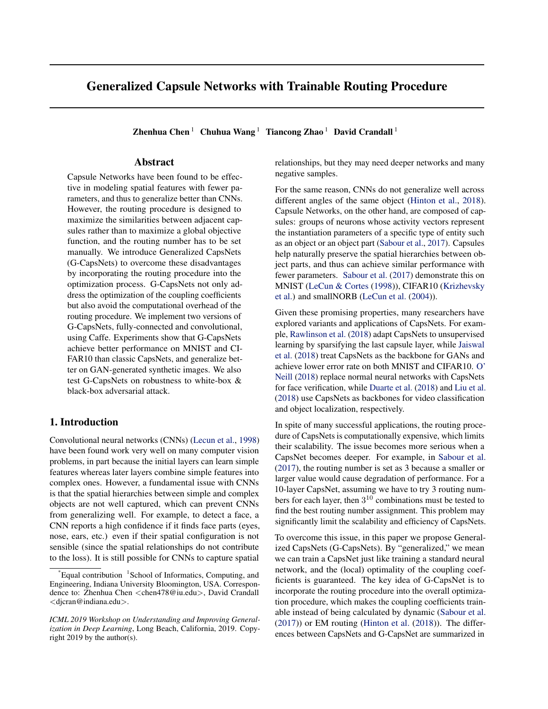# Generalized Capsule Networks with Trainable Routing Procedure

Zhenhua Chen<sup>1</sup> Chuhua Wang<sup>1</sup> Tiancong Zhao<sup>1</sup> David Crandall<sup>1</sup>

# Abstract

Capsule Networks have been found to be effective in modeling spatial features with fewer parameters, and thus to generalize better than CNNs. However, the routing procedure is designed to maximize the similarities between adjacent capsules rather than to maximize a global objective function, and the routing number has to be set manually. We introduce Generalized CapsNets (G-CapsNets) to overcome these disadvantages by incorporating the routing procedure into the optimization process. G-CapsNets not only address the optimization of the coupling coefficients but also avoid the computational overhead of the routing procedure. We implement two versions of G-CapsNets, fully-connected and convolutional, using Caffe. Experiments show that G-CapsNets achieve better performance on MNIST and CI-FAR10 than classic CapsNets, and generalize better on GAN-generated synthetic images. We also test G-CapsNets on robustness to white-box & black-box adversarial attack.

# 1. Introduction

Convolutional neural networks (CNNs) [\(Lecun et al.,](#page-4-0) [1998\)](#page-4-0) have been found work very well on many computer vision problems, in part because the initial layers can learn simple features whereas later layers combine simple features into complex ones. However, a fundamental issue with CNNs is that the spatial hierarchies between simple and complex objects are not well captured, which can prevent CNNs from generalizing well. For example, to detect a face, a CNN reports a high confidence if it finds face parts (eyes, nose, ears, etc.) even if their spatial configuration is not sensible (since the spatial relationships do not contribute to the loss). It is still possible for CNNs to capture spatial

relationships, but they may need deeper networks and many negative samples.

For the same reason, CNNs do not generalize well across different angles of the same object [\(Hinton et al.,](#page-4-0) [2018\)](#page-4-0). Capsule Networks, on the other hand, are composed of capsules: groups of neurons whose activity vectors represent the instantiation parameters of a specific type of entity such as an object or an object part [\(Sabour et al.,](#page-4-0) [2017\)](#page-4-0). Capsules help naturally preserve the spatial hierarchies between object parts, and thus can achieve similar performance with fewer parameters. [Sabour et al.](#page-4-0) [\(2017\)](#page-4-0) demonstrate this on MNIST [\(LeCun & Cortes](#page-4-0) [\(1998\)](#page-4-0)), CIFAR10 [\(Krizhevsky](#page-4-0) [et al.\)](#page-4-0) and smallNORB [\(LeCun et al.](#page-4-0) [\(2004\)](#page-4-0)).

Given these promising properties, many researchers have explored variants and applications of CapsNets. For example, [Rawlinson et al.](#page-4-0) [\(2018\)](#page-4-0) adapt CapsNets to unsupervised learning by sparsifying the last capsule layer, while [Jaiswal](#page-4-0) [et al.](#page-4-0) [\(2018\)](#page-4-0) treat CapsNets as the backbone for GANs and achieve lower error rate on both MNIST and CIFAR10. [O'](#page-4-0) [Neill](#page-4-0) [\(2018\)](#page-4-0) replace normal neural networks with CapsNets for face verification, while [Duarte et al.](#page-3-0) [\(2018\)](#page-3-0) and [Liu et al.](#page-4-0) [\(2018\)](#page-4-0) use CapsNets as backbones for video classification and object localization, respectively.

In spite of many successful applications, the routing procedure of CapsNets is computationally expensive, which limits their scalability. The issue becomes more serious when a CapsNet becomes deeper. For example, in [Sabour et al.](#page-4-0) [\(2017\)](#page-4-0), the routing number is set as 3 because a smaller or larger value would cause degradation of performance. For a 10-layer CapsNet, assuming we have to try 3 routing numbers for each layer, then  $3^{10}$  combinations must be tested to find the best routing number assignment. This problem may significantly limit the scalability and efficiency of CapsNets.

To overcome this issue, in this paper we propose Generalized CapsNets (G-CapsNets). By "generalized," we mean we can train a CapsNet just like training a standard neural network, and the (local) optimality of the coupling coefficients is guaranteed. The key idea of G-CapsNet is to incorporate the routing procedure into the overall optimization procedure, which makes the coupling coefficients trainable instead of being calculated by dynamic [\(Sabour et al.](#page-4-0)  $(2017)$ ) or EM routing [\(Hinton et al.](#page-4-0)  $(2018)$ ). The differences between CapsNets and G-CapsNet are summarized in

<sup>&</sup>lt;sup>\*</sup>Equal contribution <sup>1</sup>School of Informatics, Computing, and Engineering, Indiana University Bloomington, USA. Correspondence to: Zhenhua Chen <chen478@iu.edu>, David Crandall <djcran@indiana.edu>.

*ICML 2019 Workshop on Understanding and Improving Generalization in Deep Learning*, Long Beach, California, 2019. Copyright 2019 by the author(s).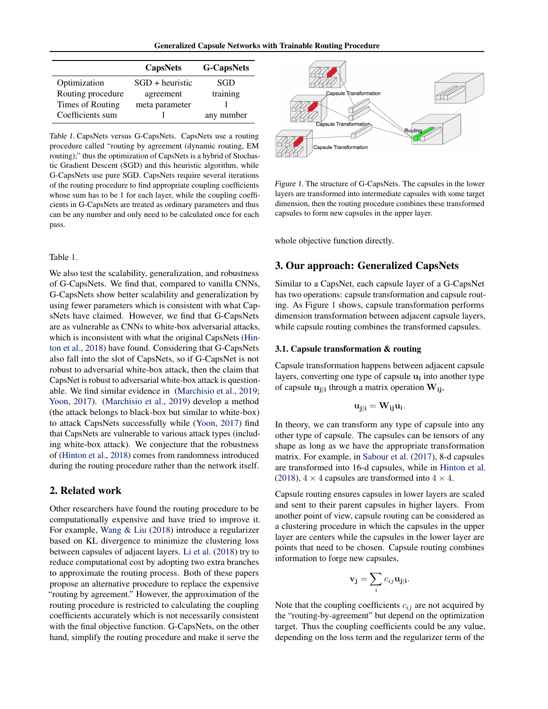| <b>Generalized Capsule Networks with Trainable Routing Procedure</b> |  |  |  |  |  |  |
|----------------------------------------------------------------------|--|--|--|--|--|--|
|----------------------------------------------------------------------|--|--|--|--|--|--|

<span id="page-1-0"></span>

|                   | <b>CapsNets</b>   | <b>G-CapsNets</b> |
|-------------------|-------------------|-------------------|
| Optimization      | $SGD + heuristic$ | SGD               |
| Routing procedure | agreement         | training          |
| Times of Routing  | meta parameter    |                   |
| Coefficients sum  |                   | any number        |

Table 1. CapsNets versus G-CapsNets. CapsNets use a routing procedure called "routing by agreement (dynamic routing, EM routing);" thus the optimization of CapsNets is a hybrid of Stochastic Gradient Descent (SGD) and this heuristic algorithm, while G-CapsNets use pure SGD. CapsNets require several iterations of the routing procedure to find appropriate coupling coefficients whose sum has to be 1 for each layer, while the coupling coefficients in G-CapsNets are treated as ordinary parameters and thus can be any number and only need to be calculated once for each pass.

### Table 1.

We also test the scalability, generalization, and robustness of G-CapsNets. We find that, compared to vanilla CNNs, G-CapsNets show better scalability and generalization by using fewer parameters which is consistent with what CapsNets have claimed. However, we find that G-CapsNets are as vulnerable as CNNs to white-box adversarial attacks, which is inconsistent with what the original CapsNets [\(Hin](#page-4-0)[ton et al.,](#page-4-0) [2018\)](#page-4-0) have found. Considering that G-CapsNets also fall into the slot of CapsNets, so if G-CapsNet is not robust to adversarial white-box attack, then the claim that CapsNet is robust to adversarial white-box attack is questionable. We find similar evidence in [\(Marchisio et al.,](#page-4-0) [2019;](#page-4-0) [Yoon,](#page-4-0) [2017\)](#page-4-0). [\(Marchisio et al.,](#page-4-0) [2019\)](#page-4-0) develop a method (the attack belongs to black-box but similar to white-box) to attack CapsNets successfully while [\(Yoon,](#page-4-0) [2017\)](#page-4-0) find that CapsNets are vulnerable to various attack types (including white-box attack). We conjecture that the robustness of [\(Hinton et al.,](#page-4-0) [2018\)](#page-4-0) comes from randomness introduced during the routing procedure rather than the network itself.

# 2. Related work

Other researchers have found the routing procedure to be computationally expensive and have tried to improve it. For example, [Wang & Liu](#page-4-0) [\(2018\)](#page-4-0) introduce a regularizer based on KL divergence to minimize the clustering loss between capsules of adjacent layers. [Li et al.](#page-4-0) [\(2018\)](#page-4-0) try to reduce computational cost by adopting two extra branches to approximate the routing process. Both of these papers propose an alternative procedure to replace the expensive "routing by agreement." However, the approximation of the routing procedure is restricted to calculating the coupling coefficients accurately which is not necessarily consistent with the final objective function. G-CapsNets, on the other hand, simplify the routing procedure and make it serve the



Figure 1. The structure of G-CapsNets. The capsules in the lower layers are transformed into intermediate capsules with some target dimension, then the routing procedure combines these transformed capsules to form new capsules in the upper layer.

whole objective function directly.

# 3. Our approach: Generalized CapsNets

Similar to a CapsNet, each capsule layer of a G-CapsNet has two operations: capsule transformation and capsule routing. As Figure 1 shows, capsule transformation performs dimension transformation between adjacent capsule layers, while capsule routing combines the transformed capsules.

### 3.1. Capsule transformation & routing

Capsule transformation happens between adjacent capsule layers, converting one type of capsule  $\mathbf{u_i}$  into another type of capsule  $\mathbf{u}_{j|i}$  through a matrix operation  $\mathbf{W}_{ij}$ ,

$$
\mathbf{u}_{j|i} = \mathbf{W}_{ij}\mathbf{u}_i.
$$

In theory, we can transform any type of capsule into any other type of capsule. The capsules can be tensors of any shape as long as we have the appropriate transformation matrix. For example, in [Sabour et al.](#page-4-0) [\(2017\)](#page-4-0), 8-d capsules are transformed into 16-d capsules, while in [Hinton et al.](#page-4-0) [\(2018\)](#page-4-0),  $4 \times 4$  capsules are transformed into  $4 \times 4$ .

Capsule routing ensures capsules in lower layers are scaled and sent to their parent capsules in higher layers. From another point of view, capsule routing can be considered as a clustering procedure in which the capsules in the upper layer are centers while the capsules in the lower layer are points that need to be chosen. Capsule routing combines information to forge new capsules,

$$
\mathbf{v}_{\mathbf{j}} = \sum_{i} c_{ij} \mathbf{u}_{\mathbf{j}|\mathbf{i}}.
$$

Note that the coupling coefficients  $c_{ij}$  are not acquired by the "routing-by-agreement" but depend on the optimization target. Thus the coupling coefficients could be any value, depending on the loss term and the regularizer term of the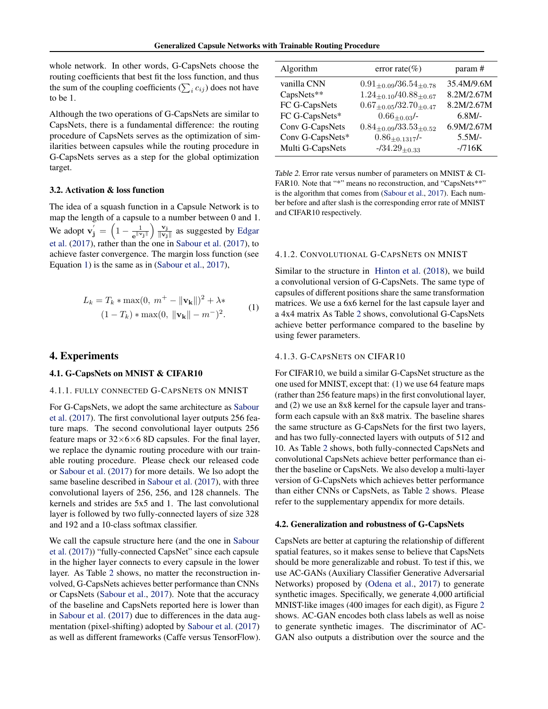whole network. In other words, G-CapsNets choose the routing coefficients that best fit the loss function, and thus the sum of the coupling coefficients ( $\sum_i c_{ij}$ ) does not have to be 1.

Although the two operations of G-CapsNets are similar to CapsNets, there is a fundamental difference: the routing procedure of CapsNets serves as the optimization of similarities between capsules while the routing procedure in G-CapsNets serves as a step for the global optimization target.

### 3.2. Activation & loss function

The idea of a squash function in a Capsule Network is to map the length of a capsule to a number between 0 and 1. We adopt  $\mathbf{v}'_j = \left(1 - \frac{1}{e^{||\mathbf{v}'||_j}}\right)$  $\frac{1}{e^{\parallel {\bf v_j} \parallel}} \bigg) \, \frac{{\bf v_j}}{\parallel {\bf v_j}}$  $\frac{\mathbf{v}_j}{\|\mathbf{v}_j\|}$  as suggested by [Edgar](#page-3-0) [et al.](#page-3-0) [\(2017\)](#page-3-0), rather than the one in [Sabour et al.](#page-4-0) [\(2017\)](#page-4-0), to achieve faster convergence. The margin loss function (see Equation 1) is the same as in [\(Sabour et al.,](#page-4-0) [2017\)](#page-4-0),

$$
L_k = T_k * \max(0, m^+ - ||\mathbf{v_k}||)^2 + \lambda * (1 - T_k) * \max(0, ||\mathbf{v_k}|| - m^-)^2.
$$
 (1)

# 4. Experiments

### 4.1. G-CapsNets on MNIST & CIFAR10

### 4.1.1. FULLY CONNECTED G-CAPSNETS ON MNIST

For G-CapsNets, we adopt the same architecture as [Sabour](#page-4-0) [et al.](#page-4-0) [\(2017\)](#page-4-0). The first convolutional layer outputs 256 feature maps. The second convolutional layer outputs 256 feature maps or  $32\times6\times68$  B capsules. For the final layer, we replace the dynamic routing procedure with our trainable routing procedure. Please check our released code or [Sabour et al.](#page-4-0) [\(2017\)](#page-4-0) for more details. We lso adopt the same baseline described in [Sabour et al.](#page-4-0) [\(2017\)](#page-4-0), with three convolutional layers of 256, 256, and 128 channels. The kernels and strides are 5x5 and 1. The last convolutional layer is followed by two fully-connected layers of size 328 and 192 and a 10-class softmax classifier.

We call the capsule structure here (and the one in [Sabour](#page-4-0) [et al.](#page-4-0) [\(2017\)](#page-4-0)) "fully-connected CapsNet" since each capsule in the higher layer connects to every capsule in the lower layer. As Table 2 shows, no matter the reconstruction involved, G-CapsNets achieves better performance than CNNs or CapsNets [\(Sabour et al.,](#page-4-0) [2017\)](#page-4-0). Note that the accuracy of the baseline and CapsNets reported here is lower than in [Sabour et al.](#page-4-0) [\(2017\)](#page-4-0) due to differences in the data augmentation (pixel-shifting) adopted by [Sabour et al.](#page-4-0) [\(2017\)](#page-4-0) as well as different frameworks (Caffe versus TensorFlow).

| Algorithm        | error rate $(\% )$                 | param#     |
|------------------|------------------------------------|------------|
| vanilla CNN      | $0.91_{\pm 0.09}/36.54_{\pm 0.78}$ | 35.4M/9.6M |
| CapsNets**       | $1.24_{\pm 0.10}/40.88_{\pm 0.67}$ | 8.2M/2.67M |
| FC G-CapsNets    | $0.67_{\pm 0.05}/32.70_{\pm 0.47}$ | 8.2M/2.67M |
| FC G-CapsNets*   | $0.66_{+0.03}$ /-                  | $6.8M/-$   |
| Conv G-CapsNets  | $0.84_{\pm 0.09}/33.53_{\pm 0.52}$ | 6.9M/2.67M |
| Conv G-CapsNets* | $0.86_{\pm 0.1317}$ /-             | $5.5M/-$   |
| Multi G-CapsNets | $-734.29_{+0.33}$                  | $-716K$    |

Table 2. Error rate versus number of parameters on MNIST & CI-FAR10. Note that "\*" means no reconstruction, and "CapsNets\*\*" is the algorithm that comes from [\(Sabour et al.,](#page-4-0) [2017\)](#page-4-0). Each number before and after slash is the corresponding error rate of MNIST and CIFAR10 respectively.

#### 4.1.2. CONVOLUTIONAL G-CAPSNETS ON MNIST

Similar to the structure in [Hinton et al.](#page-4-0) [\(2018\)](#page-4-0), we build a convolutional version of G-CapsNets. The same type of capsules of different positions share the same transformation matrices. We use a 6x6 kernel for the last capsule layer and a 4x4 matrix As Table 2 shows, convolutional G-CapsNets achieve better performance compared to the baseline by using fewer parameters.

### 4.1.3. G-CAPSNETS ON CIFAR10

For CIFAR10, we build a similar G-CapsNet structure as the one used for MNIST, except that: (1) we use 64 feature maps (rather than 256 feature maps) in the first convolutional layer, and (2) we use an 8x8 kernel for the capsule layer and transform each capsule with an 8x8 matrix. The baseline shares the same structure as G-CapsNets for the first two layers, and has two fully-connected layers with outputs of 512 and 10. As Table 2 shows, both fully-connected CapsNets and convolutional CapsNets achieve better performance than either the baseline or CapsNets. We also develop a multi-layer version of G-CapsNets which achieves better performance than either CNNs or CapsNets, as Table 2 shows. Please refer to the supplementary appendix for more details.

#### 4.2. Generalization and robustness of G-CapsNets

CapsNets are better at capturing the relationship of different spatial features, so it makes sense to believe that CapsNets should be more generalizable and robust. To test if this, we use AC-GANs (Auxiliary Classifier Generative Adversarial Networks) proposed by [\(Odena et al.,](#page-4-0) [2017\)](#page-4-0) to generate synthetic images. Specifically, we generate 4,000 artificial MNIST-like images (400 images for each digit), as Figure [2](#page-3-0) shows. AC-GAN encodes both class labels as well as noise to generate synthetic images. The discriminator of AC-GAN also outputs a distribution over the source and the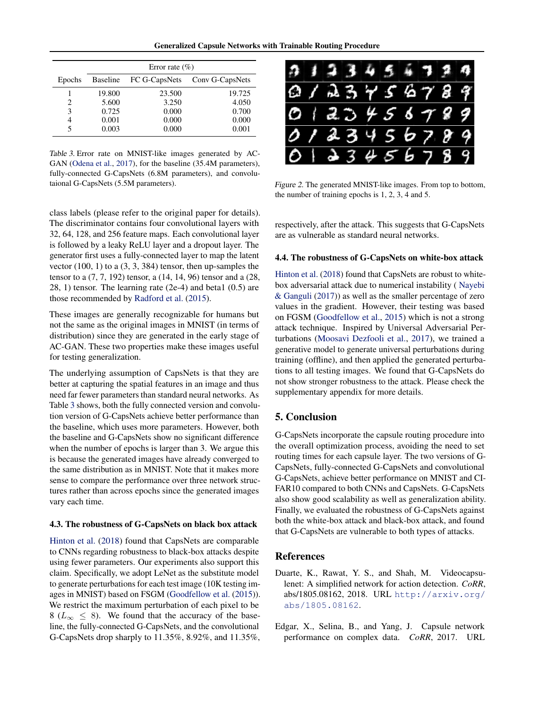Generalized Capsule Networks with Trainable Routing Procedure

<span id="page-3-0"></span>

|        | Error rate $(\% )$ |               |                 |  |
|--------|--------------------|---------------|-----------------|--|
| Epochs | <b>Baseline</b>    | FC G-CapsNets | Conv G-CapsNets |  |
|        | 19.800             | 23.500        | 19.725          |  |
| 2      | 5.600              | 3.250         | 4.050           |  |
| 3      | 0.725              | 0.000         | 0.700           |  |
| 4      | 0.001              | 0.000         | 0.000           |  |
| 5      | 0.003              | 0.000         | 0.001           |  |

Table 3. Error rate on MNIST-like images generated by AC-GAN [\(Odena et al.,](#page-4-0) [2017\)](#page-4-0), for the baseline (35.4M parameters), fully-connected G-CapsNets (6.8M parameters), and convolutaional G-CapsNets (5.5M parameters).

class labels (please refer to the original paper for details). The discriminator contains four convolutional layers with 32, 64, 128, and 256 feature maps. Each convolutional layer is followed by a leaky ReLU layer and a dropout layer. The generator first uses a fully-connected layer to map the latent vector (100, 1) to a (3, 3, 384) tensor, then up-samples the tensor to a (7, 7, 192) tensor, a (14, 14, 96) tensor and a (28, 28, 1) tensor. The learning rate (2e-4) and beta1 (0.5) are those recommended by [Radford et al.](#page-4-0) [\(2015\)](#page-4-0).

These images are generally recognizable for humans but not the same as the original images in MNIST (in terms of distribution) since they are generated in the early stage of AC-GAN. These two properties make these images useful for testing generalization.

The underlying assumption of CapsNets is that they are better at capturing the spatial features in an image and thus need far fewer parameters than standard neural networks. As Table 3 shows, both the fully connected version and convolution version of G-CapsNets achieve better performance than the baseline, which uses more parameters. However, both the baseline and G-CapsNets show no significant difference when the number of epochs is larger than 3. We argue this is because the generated images have already converged to the same distribution as in MNIST. Note that it makes more sense to compare the performance over three network structures rather than across epochs since the generated images vary each time.

### 4.3. The robustness of G-CapsNets on black box attack

[Hinton et al.](#page-4-0) [\(2018\)](#page-4-0) found that CapsNets are comparable to CNNs regarding robustness to black-box attacks despite using fewer parameters. Our experiments also support this claim. Specifically, we adopt LeNet as the substitute model to generate perturbations for each test image (10K testing images in MNIST) based on FSGM [\(Goodfellow et al.](#page-4-0) [\(2015\)](#page-4-0)). We restrict the maximum perturbation of each pixel to be 8 ( $L_{\infty} \leq 8$ ). We found that the accuracy of the baseline, the fully-connected G-CapsNets, and the convolutional G-CapsNets drop sharply to 11.35%, 8.92%, and 11.35%,



Figure 2. The generated MNIST-like images. From top to bottom, the number of training epochs is 1, 2, 3, 4 and 5.

respectively, after the attack. This suggests that G-CapsNets are as vulnerable as standard neural networks.

### 4.4. The robustness of G-CapsNets on white-box attack

[Hinton et al.](#page-4-0) [\(2018\)](#page-4-0) found that CapsNets are robust to whitebox adversarial attack due to numerical instability ( [Nayebi](#page-4-0) [& Ganguli](#page-4-0) [\(2017\)](#page-4-0)) as well as the smaller percentage of zero values in the gradient. However, their testing was based on FGSM [\(Goodfellow et al.,](#page-4-0) [2015\)](#page-4-0) which is not a strong attack technique. Inspired by Universal Adversarial Perturbations [\(Moosavi Dezfooli et al.,](#page-4-0) [2017\)](#page-4-0), we trained a generative model to generate universal perturbations during training (offline), and then applied the generated perturbations to all testing images. We found that G-CapsNets do not show stronger robustness to the attack. Please check the supplementary appendix for more details.

# 5. Conclusion

G-CapsNets incorporate the capsule routing procedure into the overall optimization process, avoiding the need to set routing times for each capsule layer. The two versions of G-CapsNets, fully-connected G-CapsNets and convolutional G-CapsNets, achieve better performance on MNIST and CI-FAR10 compared to both CNNs and CapsNets. G-CapsNets also show good scalability as well as generalization ability. Finally, we evaluated the robustness of G-CapsNets against both the white-box attack and black-box attack, and found that G-CapsNets are vulnerable to both types of attacks.

# References

- Duarte, K., Rawat, Y. S., and Shah, M. Videocapsulenet: A simplified network for action detection. *CoRR*, abs/1805.08162, 2018. URL [http://arxiv.org/](http://arxiv.org/abs/1805.08162) [abs/1805.08162](http://arxiv.org/abs/1805.08162).
- Edgar, X., Selina, B., and Yang, J. Capsule network performance on complex data. *CoRR*, 2017. URL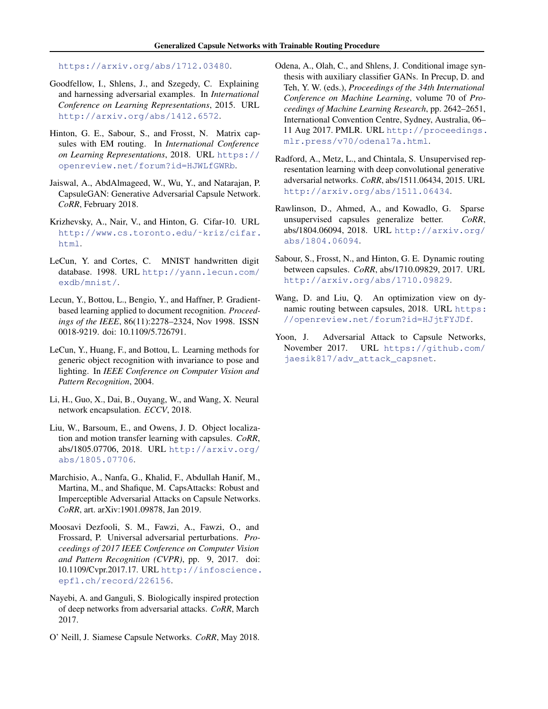<span id="page-4-0"></span><https://arxiv.org/abs/1712.03480>.

- Goodfellow, I., Shlens, J., and Szegedy, C. Explaining and harnessing adversarial examples. In *International Conference on Learning Representations*, 2015. URL <http://arxiv.org/abs/1412.6572>.
- Hinton, G. E., Sabour, S., and Frosst, N. Matrix capsules with EM routing. In *International Conference on Learning Representations*, 2018. URL [https://](https://openreview.net/forum?id=HJWLfGWRb) [openreview.net/forum?id=HJWLfGWRb](https://openreview.net/forum?id=HJWLfGWRb).
- Jaiswal, A., AbdAlmageed, W., Wu, Y., and Natarajan, P. CapsuleGAN: Generative Adversarial Capsule Network. *CoRR*, February 2018.
- Krizhevsky, A., Nair, V., and Hinton, G. Cifar-10. URL [http://www.cs.toronto.edu/˜kriz/cifar.](http://www.cs.toronto.edu/~kriz/cifar.html) [html](http://www.cs.toronto.edu/~kriz/cifar.html).
- LeCun, Y. and Cortes, C. MNIST handwritten digit database. 1998. URL [http://yann.lecun.com/](http://yann.lecun.com/exdb/mnist/) [exdb/mnist/](http://yann.lecun.com/exdb/mnist/).
- Lecun, Y., Bottou, L., Bengio, Y., and Haffner, P. Gradientbased learning applied to document recognition. *Proceedings of the IEEE*, 86(11):2278–2324, Nov 1998. ISSN 0018-9219. doi: 10.1109/5.726791.
- LeCun, Y., Huang, F., and Bottou, L. Learning methods for generic object recognition with invariance to pose and lighting. In *IEEE Conference on Computer Vision and Pattern Recognition*, 2004.
- Li, H., Guo, X., Dai, B., Ouyang, W., and Wang, X. Neural network encapsulation. *ECCV*, 2018.
- Liu, W., Barsoum, E., and Owens, J. D. Object localization and motion transfer learning with capsules. *CoRR*, abs/1805.07706, 2018. URL [http://arxiv.org/](http://arxiv.org/abs/1805.07706) [abs/1805.07706](http://arxiv.org/abs/1805.07706).
- Marchisio, A., Nanfa, G., Khalid, F., Abdullah Hanif, M., Martina, M., and Shafique, M. CapsAttacks: Robust and Imperceptible Adversarial Attacks on Capsule Networks. *CoRR*, art. arXiv:1901.09878, Jan 2019.
- Moosavi Dezfooli, S. M., Fawzi, A., Fawzi, O., and Frossard, P. Universal adversarial perturbations. *Proceedings of 2017 IEEE Conference on Computer Vision and Pattern Recognition (CVPR)*, pp. 9, 2017. doi: 10.1109/Cvpr.2017.17. URL [http://infoscience.](http://infoscience.epfl.ch/record/226156) [epfl.ch/record/226156](http://infoscience.epfl.ch/record/226156).
- Nayebi, A. and Ganguli, S. Biologically inspired protection of deep networks from adversarial attacks. *CoRR*, March 2017.
- O' Neill, J. Siamese Capsule Networks. *CoRR*, May 2018.
- Odena, A., Olah, C., and Shlens, J. Conditional image synthesis with auxiliary classifier GANs. In Precup, D. and Teh, Y. W. (eds.), *Proceedings of the 34th International Conference on Machine Learning*, volume 70 of *Proceedings of Machine Learning Research*, pp. 2642–2651, International Convention Centre, Sydney, Australia, 06– 11 Aug 2017. PMLR. URL [http://proceedings.](http://proceedings.mlr.press/v70/odena17a.html) [mlr.press/v70/odena17a.html](http://proceedings.mlr.press/v70/odena17a.html).
- Radford, A., Metz, L., and Chintala, S. Unsupervised representation learning with deep convolutional generative adversarial networks. *CoRR*, abs/1511.06434, 2015. URL <http://arxiv.org/abs/1511.06434>.
- Rawlinson, D., Ahmed, A., and Kowadlo, G. Sparse unsupervised capsules generalize better. *CoRR*, abs/1804.06094, 2018. URL [http://arxiv.org/](http://arxiv.org/abs/1804.06094) [abs/1804.06094](http://arxiv.org/abs/1804.06094).
- Sabour, S., Frosst, N., and Hinton, G. E. Dynamic routing between capsules. *CoRR*, abs/1710.09829, 2017. URL <http://arxiv.org/abs/1710.09829>.
- Wang, D. and Liu, Q. An optimization view on dynamic routing between capsules, 2018. URL [https:](https://openreview.net/forum?id=HJjtFYJDf) [//openreview.net/forum?id=HJjtFYJDf](https://openreview.net/forum?id=HJjtFYJDf).
- Yoon, J. Adversarial Attack to Capsule Networks, November 2017. URL [https://github.com/](https://github.com/jaesik817/adv_attack_capsnet) [jaesik817/adv\\_attack\\_capsnet](https://github.com/jaesik817/adv_attack_capsnet).